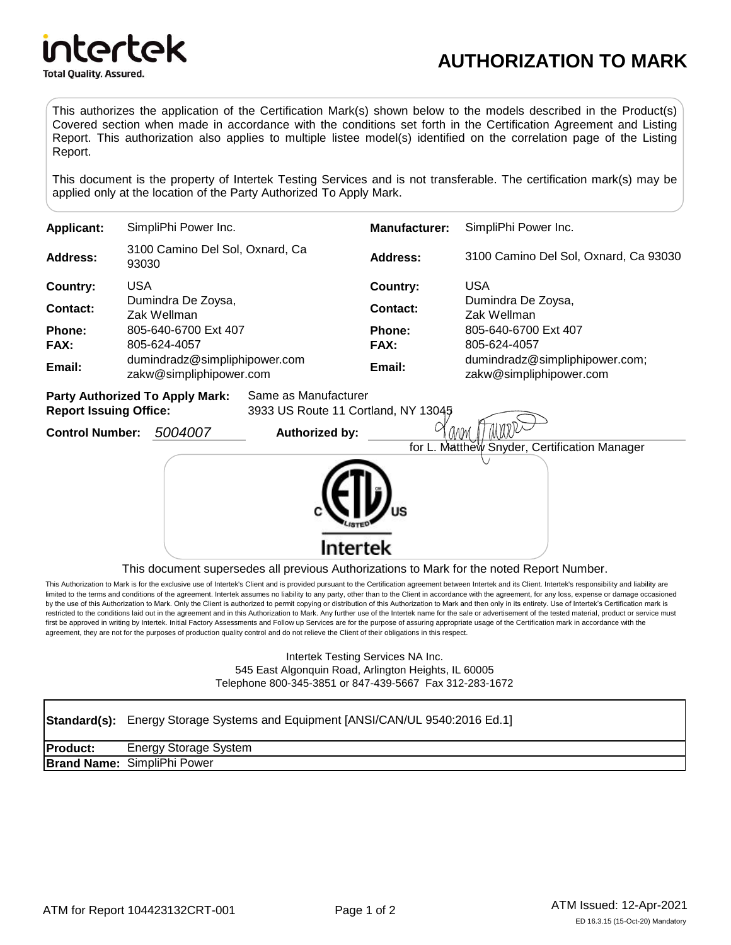

# **AUTHORIZATION TO MARK**

This authorizes the application of the Certification Mark(s) shown below to the models described in the Product(s) Covered section when made in accordance with the conditions set forth in the Certification Agreement and Listing Report. This authorization also applies to multiple listee model(s) identified on the correlation page of the Listing Report.

This document is the property of Intertek Testing Services and is not transferable. The certification mark(s) may be applied only at the location of the Party Authorized To Apply Mark.

| <b>Applicant:</b>                                              | SimpliPhi Power Inc.                                     | <b>Manufacturer:</b> | SimpliPhi Power Inc.                                      |
|----------------------------------------------------------------|----------------------------------------------------------|----------------------|-----------------------------------------------------------|
| Address:                                                       | 3100 Camino Del Sol, Oxnard, Ca<br>93030                 | Address:             | 3100 Camino Del Sol, Oxnard, Ca 93030                     |
| Country:                                                       | <b>USA</b>                                               | Country:             | <b>USA</b>                                                |
| Contact:                                                       | Dumindra De Zoysa,<br>Zak Wellman                        | Contact:             | Dumindra De Zoysa,<br>Zak Wellman                         |
| Phone:                                                         | 805-640-6700 Ext 407                                     | <b>Phone:</b>        | 805-640-6700 Ext 407                                      |
| <b>FAX:</b>                                                    | 805-624-4057                                             | <b>FAX:</b>          | 805-624-4057                                              |
| Email:                                                         | dumindradz@simpliphipower.com<br>zakw@simpliphipower.com | Email:               | dumindradz@simpliphipower.com;<br>zakw@simpliphipower.com |
| <b>Party Authorized To Apply Mark:</b><br>Same as Manufacturer |                                                          |                      |                                                           |

**Report Issuing Office:** 3933 US Route 11 Cortland, NY 13045

**Control Number:** *5004007* **Authorized by:**



This document supersedes all previous Authorizations to Mark for the noted Report Number.

This Authorization to Mark is for the exclusive use of Intertek's Client and is provided pursuant to the Certification agreement between Intertek and its Client. Intertek's responsibility and liability are limited to the terms and conditions of the agreement. Intertek assumes no liability to any party, other than to the Client in accordance with the agreement, for any loss, expense or damage occasioned by the use of this Authorization to Mark. Only the Client is authorized to permit copying or distribution of this Authorization to Mark and then only in its entirety. Use of Intertek's Certification mark is restricted to the conditions laid out in the agreement and in this Authorization to Mark. Any further use of the Intertek name for the sale or advertisement of the tested material, product or service must first be approved in writing by Intertek. Initial Factory Assessments and Follow up Services are for the purpose of assuring appropriate usage of the Certification mark in accordance with the agreement, they are not for the purposes of production quality control and do not relieve the Client of their obligations in this respect.

> Intertek Testing Services NA Inc. 545 East Algonquin Road, Arlington Heights, IL 60005 Telephone 800-345-3851 or 847-439-5667 Fax 312-283-1672

#### Standard(s): Energy Storage Systems and Equipment [ANSI/CAN/UL 9540:2016 Ed.1] **Product: Brand Name:** Energy Storage System SimpliPhi Power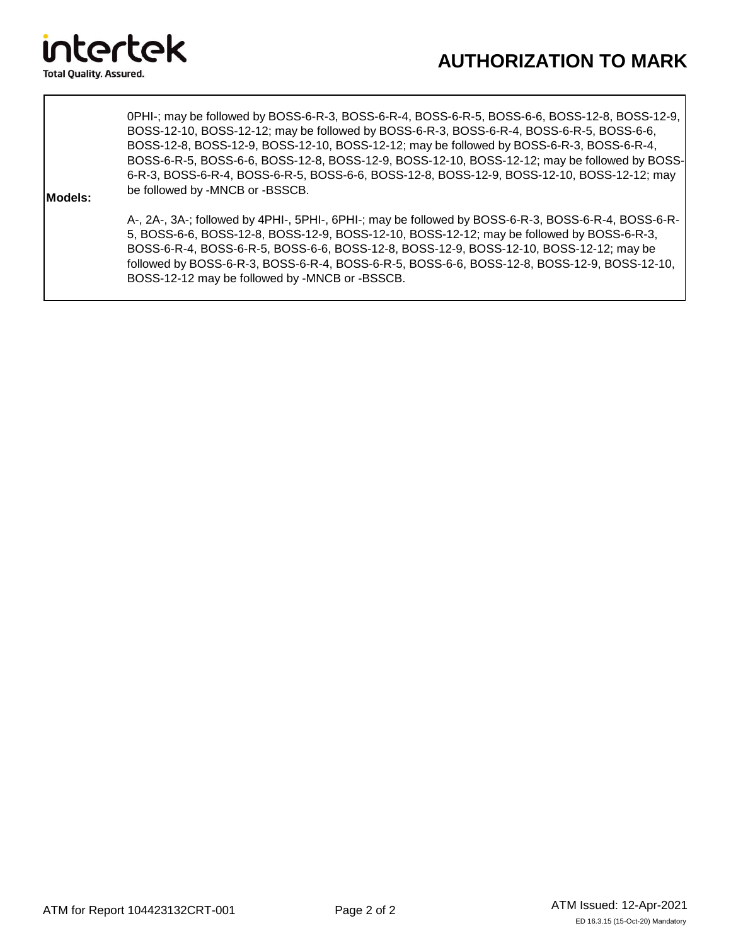

0PHI-; may be followed by BOSS-6-R-3, BOSS-6-R-4, BOSS-6-R-5, BOSS-6-6, BOSS-12-8, BOSS-12-9, BOSS-12-10, BOSS-12-12; may be followed by BOSS-6-R-3, BOSS-6-R-4, BOSS-6-R-5, BOSS-6-6, BOSS-12-8, BOSS-12-9, BOSS-12-10, BOSS-12-12; may be followed by BOSS-6-R-3, BOSS-6-R-4, BOSS-6-R-5, BOSS-6-6, BOSS-12-8, BOSS-12-9, BOSS-12-10, BOSS-12-12; may be followed by BOSS-6-R-3, BOSS-6-R-4, BOSS-6-R-5, BOSS-6-6, BOSS-12-8, BOSS-12-9, BOSS-12-10, BOSS-12-12; may be followed by -MNCB or -BSSCB.

#### **Models:**

A-, 2A-, 3A-; followed by 4PHI-, 5PHI-, 6PHI-; may be followed by BOSS-6-R-3, BOSS-6-R-4, BOSS-6-R-5, BOSS-6-6, BOSS-12-8, BOSS-12-9, BOSS-12-10, BOSS-12-12; may be followed by BOSS-6-R-3, BOSS-6-R-4, BOSS-6-R-5, BOSS-6-6, BOSS-12-8, BOSS-12-9, BOSS-12-10, BOSS-12-12; may be followed by BOSS-6-R-3, BOSS-6-R-4, BOSS-6-R-5, BOSS-6-6, BOSS-12-8, BOSS-12-9, BOSS-12-10, BOSS-12-12 may be followed by -MNCB or -BSSCB.